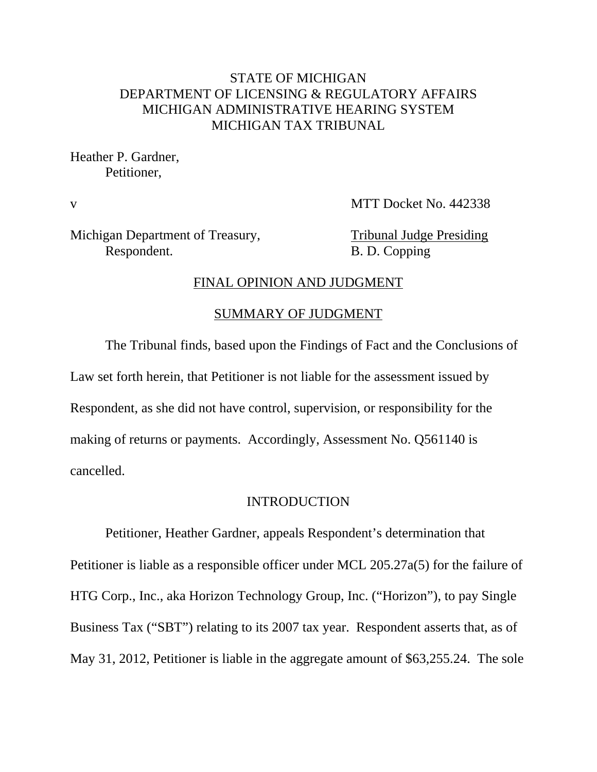## STATE OF MICHIGAN DEPARTMENT OF LICENSING & REGULATORY AFFAIRS MICHIGAN ADMINISTRATIVE HEARING SYSTEM MICHIGAN TAX TRIBUNAL

Heather P. Gardner, Petitioner,

v MTT Docket No. 442338

Michigan Department of Treasury, Tribunal Judge Presiding Respondent. B. D. Copping

### FINAL OPINION AND JUDGMENT

### SUMMARY OF JUDGMENT

The Tribunal finds, based upon the Findings of Fact and the Conclusions of Law set forth herein, that Petitioner is not liable for the assessment issued by Respondent, as she did not have control, supervision, or responsibility for the making of returns or payments. Accordingly, Assessment No. Q561140 is cancelled.

### INTRODUCTION

Petitioner, Heather Gardner, appeals Respondent's determination that Petitioner is liable as a responsible officer under MCL 205.27a(5) for the failure of HTG Corp., Inc., aka Horizon Technology Group, Inc. ("Horizon"), to pay Single Business Tax ("SBT") relating to its 2007 tax year. Respondent asserts that, as of May 31, 2012, Petitioner is liable in the aggregate amount of \$63,255.24. The sole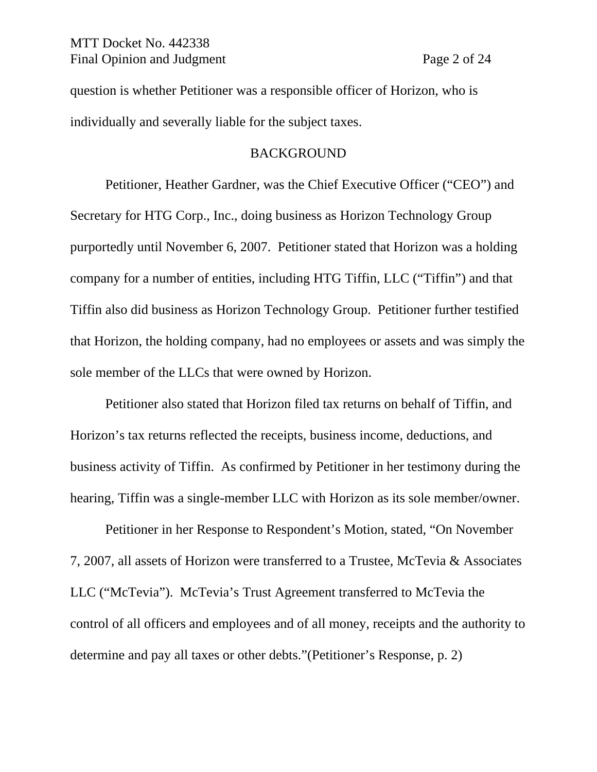question is whether Petitioner was a responsible officer of Horizon, who is individually and severally liable for the subject taxes.

### BACKGROUND

Petitioner, Heather Gardner, was the Chief Executive Officer ("CEO") and Secretary for HTG Corp., Inc., doing business as Horizon Technology Group purportedly until November 6, 2007. Petitioner stated that Horizon was a holding company for a number of entities, including HTG Tiffin, LLC ("Tiffin") and that Tiffin also did business as Horizon Technology Group. Petitioner further testified that Horizon, the holding company, had no employees or assets and was simply the sole member of the LLCs that were owned by Horizon.

Petitioner also stated that Horizon filed tax returns on behalf of Tiffin, and Horizon's tax returns reflected the receipts, business income, deductions, and business activity of Tiffin. As confirmed by Petitioner in her testimony during the hearing, Tiffin was a single-member LLC with Horizon as its sole member/owner.

Petitioner in her Response to Respondent's Motion, stated, "On November 7, 2007, all assets of Horizon were transferred to a Trustee, McTevia & Associates LLC ("McTevia"). McTevia's Trust Agreement transferred to McTevia the control of all officers and employees and of all money, receipts and the authority to determine and pay all taxes or other debts."(Petitioner's Response, p. 2)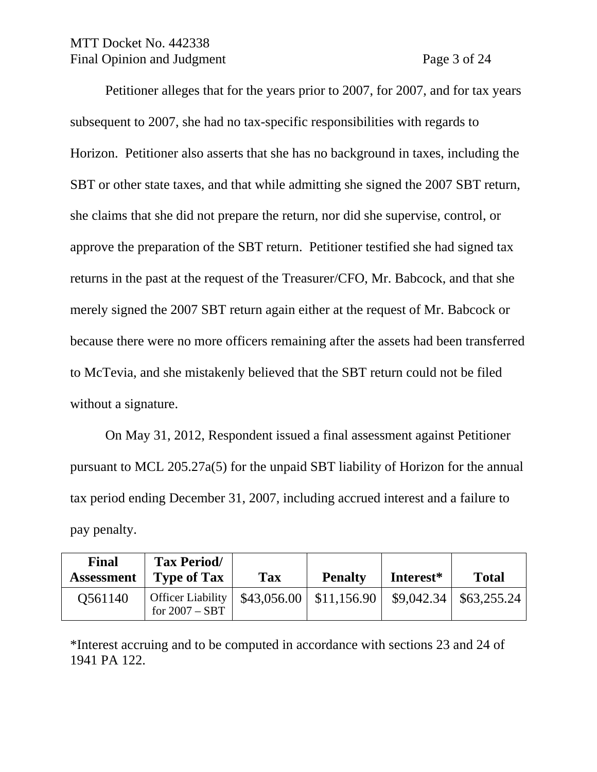## MTT Docket No. 442338 Final Opinion and Judgment Page 3 of 24

Petitioner alleges that for the years prior to 2007, for 2007, and for tax years subsequent to 2007, she had no tax-specific responsibilities with regards to Horizon. Petitioner also asserts that she has no background in taxes, including the SBT or other state taxes, and that while admitting she signed the 2007 SBT return, she claims that she did not prepare the return, nor did she supervise, control, or approve the preparation of the SBT return. Petitioner testified she had signed tax returns in the past at the request of the Treasurer/CFO, Mr. Babcock, and that she merely signed the 2007 SBT return again either at the request of Mr. Babcock or because there were no more officers remaining after the assets had been transferred to McTevia, and she mistakenly believed that the SBT return could not be filed without a signature.

On May 31, 2012, Respondent issued a final assessment against Petitioner pursuant to MCL 205.27a(5) for the unpaid SBT liability of Horizon for the annual tax period ending December 31, 2007, including accrued interest and a failure to pay penalty.

| Final<br><b>Assessment</b> | <b>Tax Period/</b><br><b>Type of Tax</b>     | <b>Tax</b> | <b>Penalty</b>                          | Interest* | <b>Total</b>                |
|----------------------------|----------------------------------------------|------------|-----------------------------------------|-----------|-----------------------------|
| Q561140                    | <b>Officer Liability</b><br>for $2007 - SBT$ |            | $$43,056.00 \;   \; $11,156.90 \;   \;$ |           | $$9,042.34 \mid $63,255.24$ |

\*Interest accruing and to be computed in accordance with sections 23 and 24 of 1941 PA 122.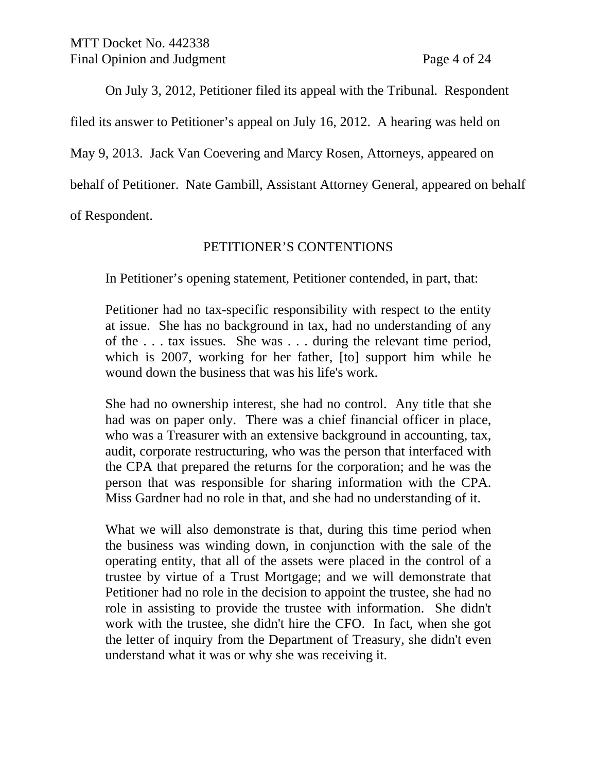On July 3, 2012, Petitioner filed its appeal with the Tribunal. Respondent filed its answer to Petitioner's appeal on July 16, 2012. A hearing was held on May 9, 2013. Jack Van Coevering and Marcy Rosen, Attorneys, appeared on behalf of Petitioner. Nate Gambill, Assistant Attorney General, appeared on behalf of Respondent.

PETITIONER'S CONTENTIONS

In Petitioner's opening statement, Petitioner contended, in part, that:

Petitioner had no tax-specific responsibility with respect to the entity at issue. She has no background in tax, had no understanding of any of the . . . tax issues. She was . . . during the relevant time period, which is 2007, working for her father, [to] support him while he wound down the business that was his life's work.

She had no ownership interest, she had no control. Any title that she had was on paper only. There was a chief financial officer in place, who was a Treasurer with an extensive background in accounting, tax, audit, corporate restructuring, who was the person that interfaced with the CPA that prepared the returns for the corporation; and he was the person that was responsible for sharing information with the CPA. Miss Gardner had no role in that, and she had no understanding of it.

What we will also demonstrate is that, during this time period when the business was winding down, in conjunction with the sale of the operating entity, that all of the assets were placed in the control of a trustee by virtue of a Trust Mortgage; and we will demonstrate that Petitioner had no role in the decision to appoint the trustee, she had no role in assisting to provide the trustee with information. She didn't work with the trustee, she didn't hire the CFO. In fact, when she got the letter of inquiry from the Department of Treasury, she didn't even understand what it was or why she was receiving it.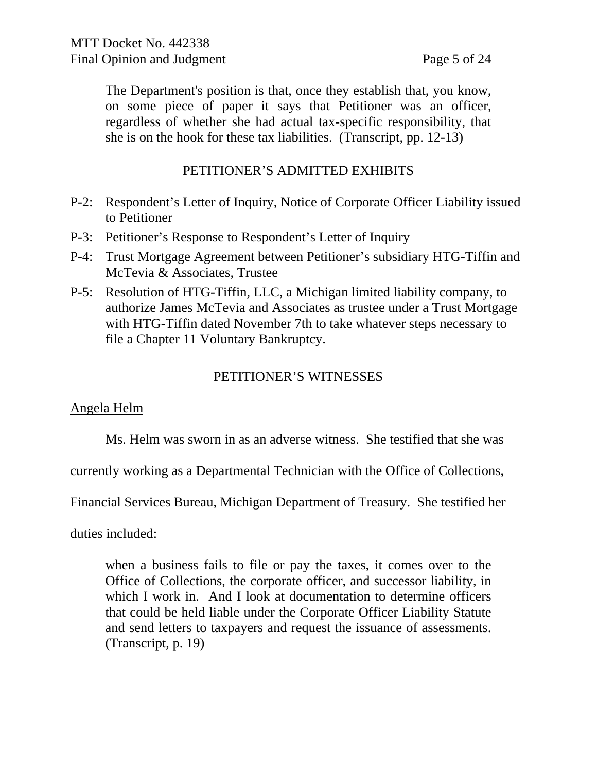The Department's position is that, once they establish that, you know, on some piece of paper it says that Petitioner was an officer, regardless of whether she had actual tax-specific responsibility, that she is on the hook for these tax liabilities. (Transcript, pp. 12-13)

# PETITIONER'S ADMITTED EXHIBITS

- P-2: Respondent's Letter of Inquiry, Notice of Corporate Officer Liability issued to Petitioner
- P-3: Petitioner's Response to Respondent's Letter of Inquiry
- P-4: Trust Mortgage Agreement between Petitioner's subsidiary HTG-Tiffin and McTevia & Associates, Trustee
- P-5: Resolution of HTG-Tiffin, LLC, a Michigan limited liability company, to authorize James McTevia and Associates as trustee under a Trust Mortgage with HTG-Tiffin dated November 7th to take whatever steps necessary to file a Chapter 11 Voluntary Bankruptcy.

# PETITIONER'S WITNESSES

## Angela Helm

Ms. Helm was sworn in as an adverse witness. She testified that she was

currently working as a Departmental Technician with the Office of Collections,

Financial Services Bureau, Michigan Department of Treasury. She testified her

duties included:

when a business fails to file or pay the taxes, it comes over to the Office of Collections, the corporate officer, and successor liability, in which I work in. And I look at documentation to determine officers that could be held liable under the Corporate Officer Liability Statute and send letters to taxpayers and request the issuance of assessments. (Transcript, p. 19)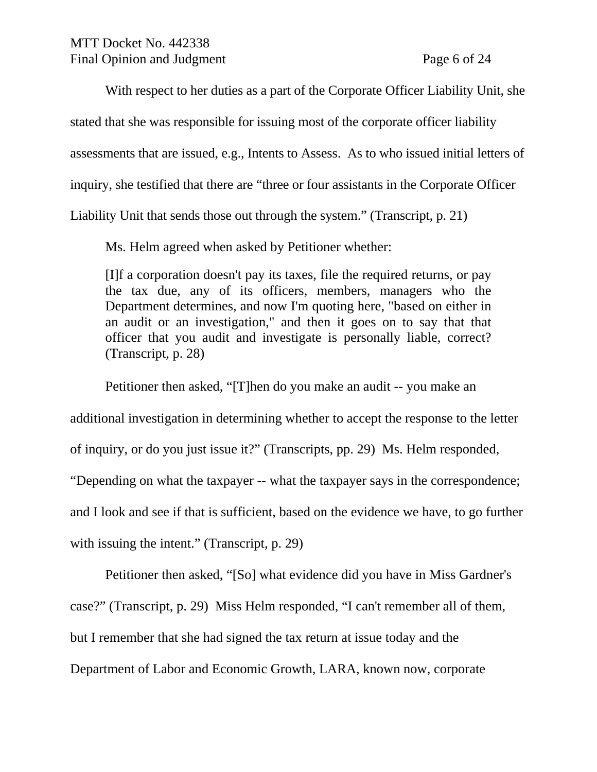With respect to her duties as a part of the Corporate Officer Liability Unit, she stated that she was responsible for issuing most of the corporate officer liability assessments that are issued, e.g., Intents to Assess. As to who issued initial letters of inquiry, she testified that there are "three or four assistants in the Corporate Officer Liability Unit that sends those out through the system." (Transcript, p. 21)

Ms. Helm agreed when asked by Petitioner whether:

[I]f a corporation doesn't pay its taxes, file the required returns, or pay the tax due, any of its officers, members, managers who the Department determines, and now I'm quoting here, "based on either in an audit or an investigation," and then it goes on to say that that officer that you audit and investigate is personally liable, correct? (Transcript, p. 28)

Petitioner then asked, "[T]hen do you make an audit -- you make an additional investigation in determining whether to accept the response to the letter of inquiry, or do you just issue it?" (Transcripts, pp. 29) Ms. Helm responded, "Depending on what the taxpayer -- what the taxpayer says in the correspondence; and I look and see if that is sufficient, based on the evidence we have, to go further with issuing the intent." (Transcript, p. 29)

Petitioner then asked, "[So] what evidence did you have in Miss Gardner's case?" (Transcript, p. 29) Miss Helm responded, "I can't remember all of them, but I remember that she had signed the tax return at issue today and the Department of Labor and Economic Growth, LARA, known now, corporate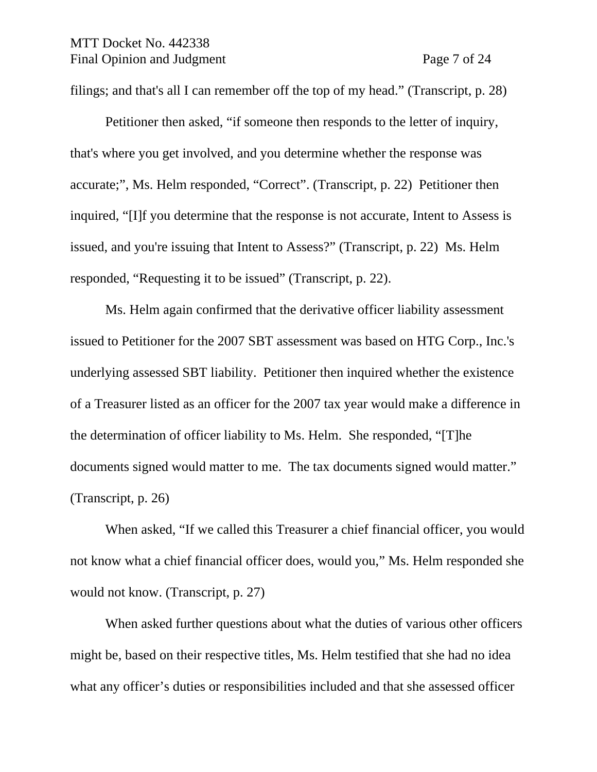filings; and that's all I can remember off the top of my head." (Transcript, p. 28)

Petitioner then asked, "if someone then responds to the letter of inquiry, that's where you get involved, and you determine whether the response was accurate;", Ms. Helm responded, "Correct". (Transcript, p. 22) Petitioner then inquired, "[I]f you determine that the response is not accurate, Intent to Assess is issued, and you're issuing that Intent to Assess?" (Transcript, p. 22) Ms. Helm responded, "Requesting it to be issued" (Transcript, p. 22).

Ms. Helm again confirmed that the derivative officer liability assessment issued to Petitioner for the 2007 SBT assessment was based on HTG Corp., Inc.'s underlying assessed SBT liability. Petitioner then inquired whether the existence of a Treasurer listed as an officer for the 2007 tax year would make a difference in the determination of officer liability to Ms. Helm. She responded, "[T]he documents signed would matter to me. The tax documents signed would matter." (Transcript, p. 26)

When asked, "If we called this Treasurer a chief financial officer, you would not know what a chief financial officer does, would you," Ms. Helm responded she would not know. (Transcript, p. 27)

When asked further questions about what the duties of various other officers might be, based on their respective titles, Ms. Helm testified that she had no idea what any officer's duties or responsibilities included and that she assessed officer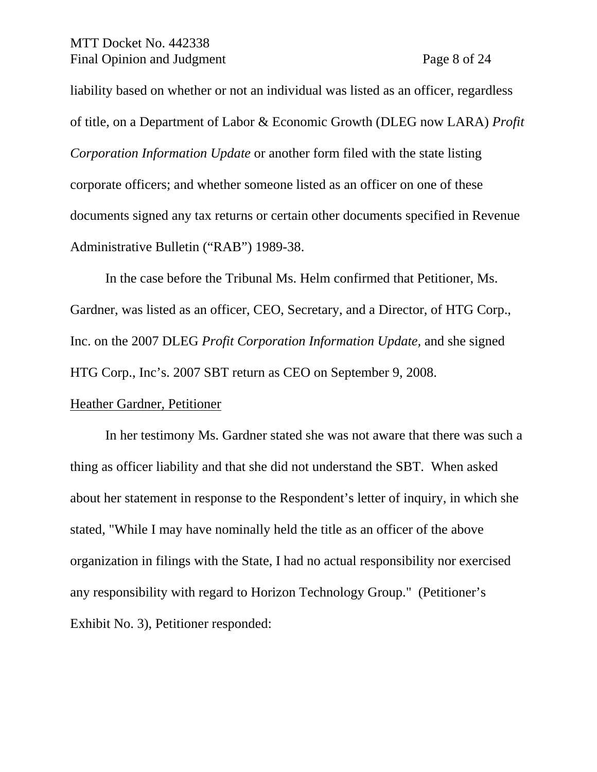liability based on whether or not an individual was listed as an officer, regardless of title, on a Department of Labor & Economic Growth (DLEG now LARA) *Profit Corporation Information Update* or another form filed with the state listing corporate officers; and whether someone listed as an officer on one of these documents signed any tax returns or certain other documents specified in Revenue Administrative Bulletin ("RAB") 1989-38.

In the case before the Tribunal Ms. Helm confirmed that Petitioner, Ms. Gardner, was listed as an officer, CEO, Secretary, and a Director, of HTG Corp., Inc. on the 2007 DLEG *Profit Corporation Information Update,* and she signed HTG Corp., Inc's. 2007 SBT return as CEO on September 9, 2008.

### Heather Gardner, Petitioner

In her testimony Ms. Gardner stated she was not aware that there was such a thing as officer liability and that she did not understand the SBT. When asked about her statement in response to the Respondent's letter of inquiry, in which she stated, "While I may have nominally held the title as an officer of the above organization in filings with the State, I had no actual responsibility nor exercised any responsibility with regard to Horizon Technology Group." (Petitioner's Exhibit No. 3), Petitioner responded: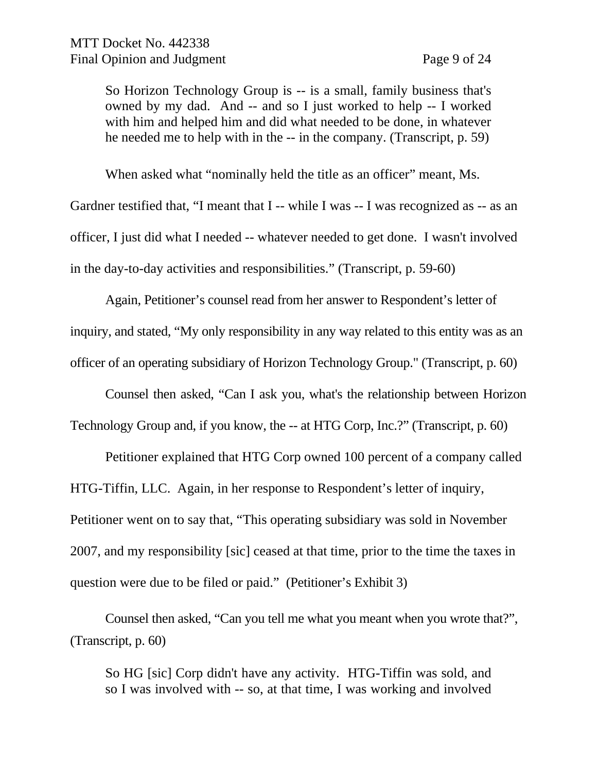So Horizon Technology Group is -- is a small, family business that's owned by my dad. And -- and so I just worked to help -- I worked with him and helped him and did what needed to be done, in whatever he needed me to help with in the -- in the company. (Transcript, p. 59)

When asked what "nominally held the title as an officer" meant, Ms.

Gardner testified that, "I meant that I -- while I was -- I was recognized as -- as an officer, I just did what I needed -- whatever needed to get done. I wasn't involved in the day-to-day activities and responsibilities." (Transcript, p. 59-60)

Again, Petitioner's counsel read from her answer to Respondent's letter of inquiry, and stated, "My only responsibility in any way related to this entity was as an officer of an operating subsidiary of Horizon Technology Group." (Transcript, p. 60)

Counsel then asked, "Can I ask you, what's the relationship between Horizon Technology Group and, if you know, the -- at HTG Corp, Inc.?" (Transcript, p. 60)

Petitioner explained that HTG Corp owned 100 percent of a company called HTG-Tiffin, LLC. Again, in her response to Respondent's letter of inquiry, Petitioner went on to say that, "This operating subsidiary was sold in November 2007, and my responsibility [sic] ceased at that time, prior to the time the taxes in question were due to be filed or paid." (Petitioner's Exhibit 3)

Counsel then asked, "Can you tell me what you meant when you wrote that?", (Transcript, p. 60)

So HG [sic] Corp didn't have any activity. HTG-Tiffin was sold, and so I was involved with -- so, at that time, I was working and involved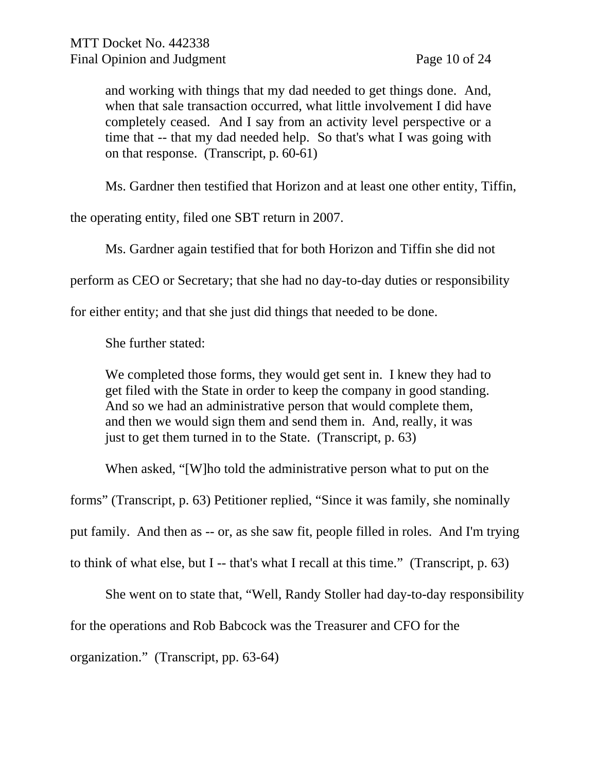and working with things that my dad needed to get things done. And, when that sale transaction occurred, what little involvement I did have completely ceased. And I say from an activity level perspective or a time that -- that my dad needed help. So that's what I was going with on that response. (Transcript, p. 60-61)

Ms. Gardner then testified that Horizon and at least one other entity, Tiffin,

the operating entity, filed one SBT return in 2007.

Ms. Gardner again testified that for both Horizon and Tiffin she did not

perform as CEO or Secretary; that she had no day-to-day duties or responsibility

for either entity; and that she just did things that needed to be done.

She further stated:

We completed those forms, they would get sent in. I knew they had to get filed with the State in order to keep the company in good standing. And so we had an administrative person that would complete them, and then we would sign them and send them in. And, really, it was just to get them turned in to the State. (Transcript, p. 63)

When asked, "[W]ho told the administrative person what to put on the

forms" (Transcript, p. 63) Petitioner replied, "Since it was family, she nominally

put family. And then as -- or, as she saw fit, people filled in roles. And I'm trying

to think of what else, but I -- that's what I recall at this time." (Transcript, p. 63)

She went on to state that, "Well, Randy Stoller had day-to-day responsibility

for the operations and Rob Babcock was the Treasurer and CFO for the

organization." (Transcript, pp. 63-64)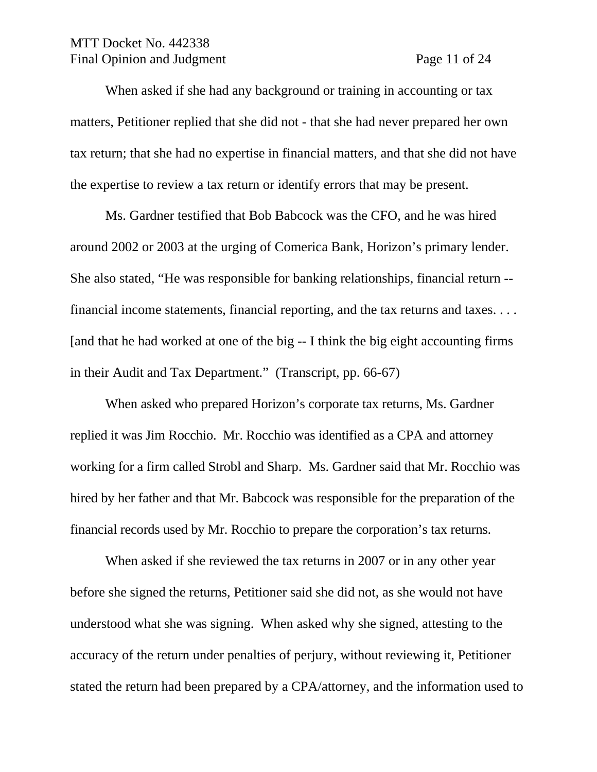## MTT Docket No. 442338 Final Opinion and Judgment Page 11 of 24

When asked if she had any background or training in accounting or tax matters, Petitioner replied that she did not - that she had never prepared her own tax return; that she had no expertise in financial matters, and that she did not have the expertise to review a tax return or identify errors that may be present.

Ms. Gardner testified that Bob Babcock was the CFO, and he was hired around 2002 or 2003 at the urging of Comerica Bank, Horizon's primary lender. She also stated, "He was responsible for banking relationships, financial return - financial income statements, financial reporting, and the tax returns and taxes. . . . [and that he had worked at one of the big -- I think the big eight accounting firms in their Audit and Tax Department." (Transcript, pp. 66-67)

When asked who prepared Horizon's corporate tax returns, Ms. Gardner replied it was Jim Rocchio. Mr. Rocchio was identified as a CPA and attorney working for a firm called Strobl and Sharp. Ms. Gardner said that Mr. Rocchio was hired by her father and that Mr. Babcock was responsible for the preparation of the financial records used by Mr. Rocchio to prepare the corporation's tax returns.

When asked if she reviewed the tax returns in 2007 or in any other year before she signed the returns, Petitioner said she did not, as she would not have understood what she was signing. When asked why she signed, attesting to the accuracy of the return under penalties of perjury, without reviewing it, Petitioner stated the return had been prepared by a CPA/attorney, and the information used to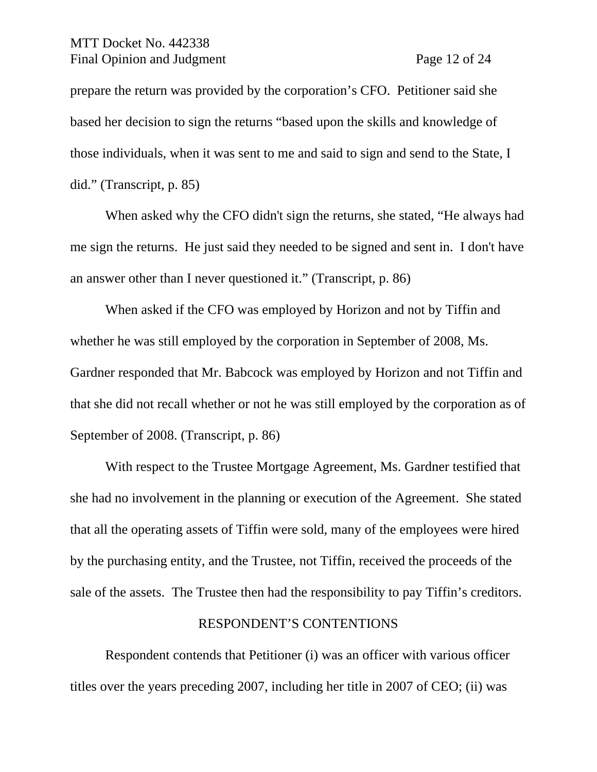prepare the return was provided by the corporation's CFO. Petitioner said she based her decision to sign the returns "based upon the skills and knowledge of those individuals, when it was sent to me and said to sign and send to the State, I did." (Transcript, p. 85)

When asked why the CFO didn't sign the returns, she stated, "He always had me sign the returns. He just said they needed to be signed and sent in. I don't have an answer other than I never questioned it." (Transcript, p. 86)

When asked if the CFO was employed by Horizon and not by Tiffin and whether he was still employed by the corporation in September of 2008, Ms. Gardner responded that Mr. Babcock was employed by Horizon and not Tiffin and that she did not recall whether or not he was still employed by the corporation as of September of 2008. (Transcript, p. 86)

With respect to the Trustee Mortgage Agreement, Ms. Gardner testified that she had no involvement in the planning or execution of the Agreement. She stated that all the operating assets of Tiffin were sold, many of the employees were hired by the purchasing entity, and the Trustee, not Tiffin, received the proceeds of the sale of the assets. The Trustee then had the responsibility to pay Tiffin's creditors.

### RESPONDENT'S CONTENTIONS

Respondent contends that Petitioner (i) was an officer with various officer titles over the years preceding 2007, including her title in 2007 of CEO; (ii) was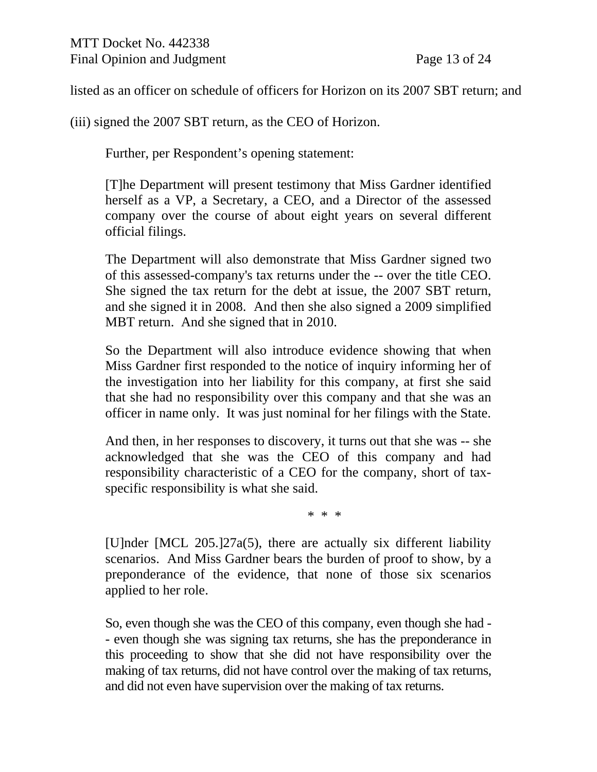listed as an officer on schedule of officers for Horizon on its 2007 SBT return; and

(iii) signed the 2007 SBT return, as the CEO of Horizon.

Further, per Respondent's opening statement:

[T]he Department will present testimony that Miss Gardner identified herself as a VP, a Secretary, a CEO, and a Director of the assessed company over the course of about eight years on several different official filings.

The Department will also demonstrate that Miss Gardner signed two of this assessed-company's tax returns under the -- over the title CEO. She signed the tax return for the debt at issue, the 2007 SBT return, and she signed it in 2008. And then she also signed a 2009 simplified MBT return. And she signed that in 2010.

So the Department will also introduce evidence showing that when Miss Gardner first responded to the notice of inquiry informing her of the investigation into her liability for this company, at first she said that she had no responsibility over this company and that she was an officer in name only. It was just nominal for her filings with the State.

And then, in her responses to discovery, it turns out that she was -- she acknowledged that she was the CEO of this company and had responsibility characteristic of a CEO for the company, short of taxspecific responsibility is what she said.

\* \* \*

[U]nder [MCL 205.]27a(5), there are actually six different liability scenarios. And Miss Gardner bears the burden of proof to show, by a preponderance of the evidence, that none of those six scenarios applied to her role.

So, even though she was the CEO of this company, even though she had - - even though she was signing tax returns, she has the preponderance in this proceeding to show that she did not have responsibility over the making of tax returns, did not have control over the making of tax returns, and did not even have supervision over the making of tax returns.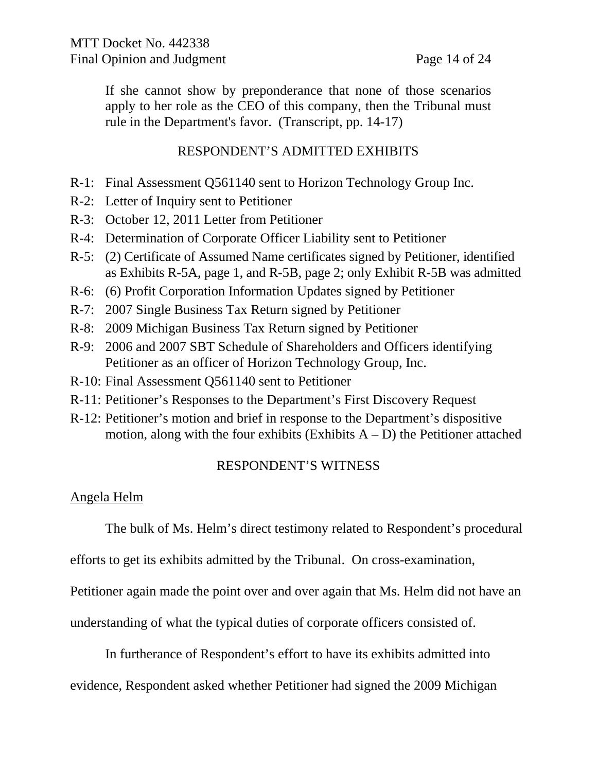If she cannot show by preponderance that none of those scenarios apply to her role as the CEO of this company, then the Tribunal must rule in the Department's favor. (Transcript, pp. 14-17)

# RESPONDENT'S ADMITTED EXHIBITS

- R-1: Final Assessment Q561140 sent to Horizon Technology Group Inc.
- R-2: Letter of Inquiry sent to Petitioner
- R-3: October 12, 2011 Letter from Petitioner
- R-4: Determination of Corporate Officer Liability sent to Petitioner
- R-5: (2) Certificate of Assumed Name certificates signed by Petitioner, identified as Exhibits R-5A, page 1, and R-5B, page 2; only Exhibit R-5B was admitted
- R-6: (6) Profit Corporation Information Updates signed by Petitioner
- R-7: 2007 Single Business Tax Return signed by Petitioner
- R-8: 2009 Michigan Business Tax Return signed by Petitioner
- R-9: 2006 and 2007 SBT Schedule of Shareholders and Officers identifying Petitioner as an officer of Horizon Technology Group, Inc.
- R-10: Final Assessment Q561140 sent to Petitioner
- R-11: Petitioner's Responses to the Department's First Discovery Request
- R-12: Petitioner's motion and brief in response to the Department's dispositive motion, along with the four exhibits (Exhibits  $(A - D)$ ) the Petitioner attached

## RESPONDENT'S WITNESS

### Angela Helm

The bulk of Ms. Helm's direct testimony related to Respondent's procedural

efforts to get its exhibits admitted by the Tribunal. On cross-examination,

Petitioner again made the point over and over again that Ms. Helm did not have an

understanding of what the typical duties of corporate officers consisted of.

In furtherance of Respondent's effort to have its exhibits admitted into

evidence, Respondent asked whether Petitioner had signed the 2009 Michigan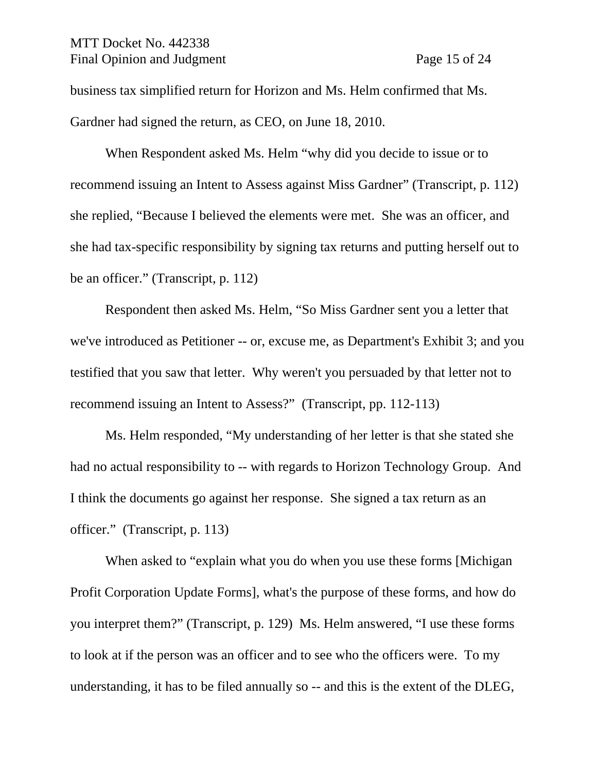## MTT Docket No. 442338 Final Opinion and Judgment Page 15 of 24

business tax simplified return for Horizon and Ms. Helm confirmed that Ms. Gardner had signed the return, as CEO, on June 18, 2010.

When Respondent asked Ms. Helm "why did you decide to issue or to recommend issuing an Intent to Assess against Miss Gardner" (Transcript, p. 112) she replied, "Because I believed the elements were met. She was an officer, and she had tax-specific responsibility by signing tax returns and putting herself out to be an officer." (Transcript, p. 112)

Respondent then asked Ms. Helm, "So Miss Gardner sent you a letter that we've introduced as Petitioner -- or, excuse me, as Department's Exhibit 3; and you testified that you saw that letter. Why weren't you persuaded by that letter not to recommend issuing an Intent to Assess?" (Transcript, pp. 112-113)

Ms. Helm responded, "My understanding of her letter is that she stated she had no actual responsibility to -- with regards to Horizon Technology Group. And I think the documents go against her response. She signed a tax return as an officer." (Transcript, p. 113)

When asked to "explain what you do when you use these forms [Michigan Profit Corporation Update Forms], what's the purpose of these forms, and how do you interpret them?" (Transcript, p. 129) Ms. Helm answered, "I use these forms to look at if the person was an officer and to see who the officers were. To my understanding, it has to be filed annually so -- and this is the extent of the DLEG,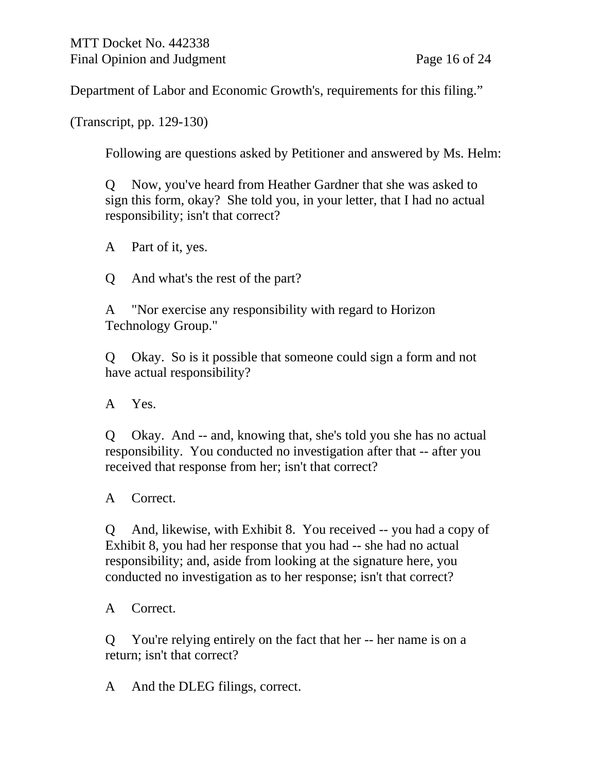Department of Labor and Economic Growth's, requirements for this filing."

(Transcript, pp. 129-130)

Following are questions asked by Petitioner and answered by Ms. Helm:

Q Now, you've heard from Heather Gardner that she was asked to sign this form, okay? She told you, in your letter, that I had no actual responsibility; isn't that correct?

A Part of it, yes.

Q And what's the rest of the part?

A "Nor exercise any responsibility with regard to Horizon Technology Group."

Q Okay. So is it possible that someone could sign a form and not have actual responsibility?

A Yes.

Q Okay. And -- and, knowing that, she's told you she has no actual responsibility. You conducted no investigation after that -- after you received that response from her; isn't that correct?

A Correct.

Q And, likewise, with Exhibit 8. You received -- you had a copy of Exhibit 8, you had her response that you had -- she had no actual responsibility; and, aside from looking at the signature here, you conducted no investigation as to her response; isn't that correct?

A Correct.

Q You're relying entirely on the fact that her -- her name is on a return; isn't that correct?

A And the DLEG filings, correct.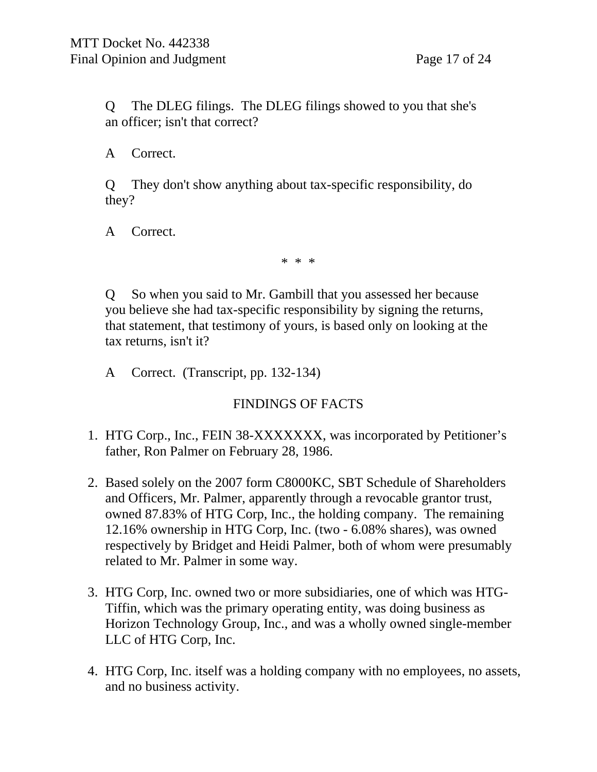Q The DLEG filings. The DLEG filings showed to you that she's an officer; isn't that correct?

A Correct.

Q They don't show anything about tax-specific responsibility, do they?

A Correct.

\* \* \*

Q So when you said to Mr. Gambill that you assessed her because you believe she had tax-specific responsibility by signing the returns, that statement, that testimony of yours, is based only on looking at the tax returns, isn't it?

A Correct. (Transcript, pp. 132-134)

# FINDINGS OF FACTS

- 1. HTG Corp., Inc., FEIN 38-XXXXXXX, was incorporated by Petitioner's father, Ron Palmer on February 28, 1986.
- 2. Based solely on the 2007 form C8000KC, SBT Schedule of Shareholders and Officers, Mr. Palmer, apparently through a revocable grantor trust, owned 87.83% of HTG Corp, Inc., the holding company. The remaining 12.16% ownership in HTG Corp, Inc. (two - 6.08% shares), was owned respectively by Bridget and Heidi Palmer, both of whom were presumably related to Mr. Palmer in some way.
- 3. HTG Corp, Inc. owned two or more subsidiaries, one of which was HTG-Tiffin, which was the primary operating entity, was doing business as Horizon Technology Group, Inc., and was a wholly owned single-member LLC of HTG Corp, Inc.
- 4. HTG Corp, Inc. itself was a holding company with no employees, no assets, and no business activity.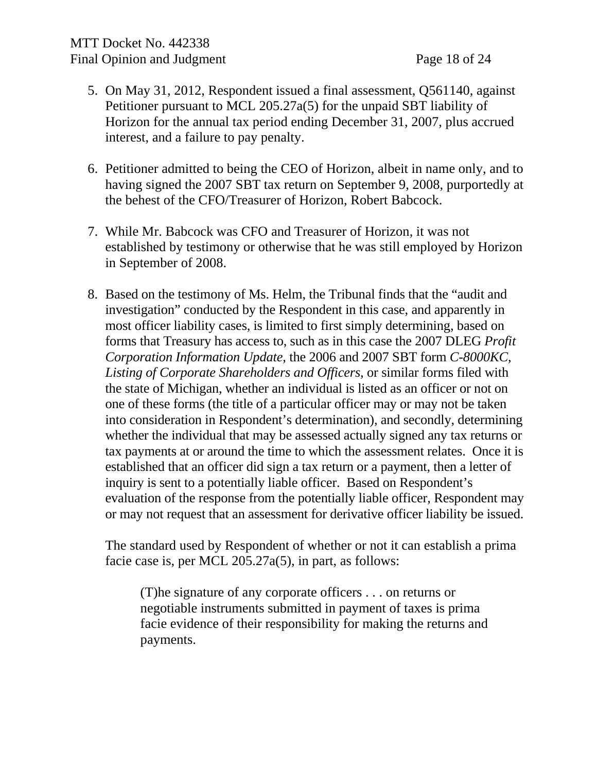- 5. On May 31, 2012, Respondent issued a final assessment, Q561140, against Petitioner pursuant to MCL 205.27a(5) for the unpaid SBT liability of Horizon for the annual tax period ending December 31, 2007, plus accrued interest, and a failure to pay penalty.
- 6. Petitioner admitted to being the CEO of Horizon, albeit in name only, and to having signed the 2007 SBT tax return on September 9, 2008, purportedly at the behest of the CFO/Treasurer of Horizon, Robert Babcock.
- 7. While Mr. Babcock was CFO and Treasurer of Horizon, it was not established by testimony or otherwise that he was still employed by Horizon in September of 2008.
- 8. Based on the testimony of Ms. Helm, the Tribunal finds that the "audit and investigation" conducted by the Respondent in this case, and apparently in most officer liability cases, is limited to first simply determining, based on forms that Treasury has access to, such as in this case the 2007 DLEG *Profit Corporation Information Update,* the 2006 and 2007 SBT form *C-8000KC, Listing of Corporate Shareholders and Officers,* or similar forms filed with the state of Michigan, whether an individual is listed as an officer or not on one of these forms (the title of a particular officer may or may not be taken into consideration in Respondent's determination), and secondly, determining whether the individual that may be assessed actually signed any tax returns or tax payments at or around the time to which the assessment relates. Once it is established that an officer did sign a tax return or a payment, then a letter of inquiry is sent to a potentially liable officer. Based on Respondent's evaluation of the response from the potentially liable officer, Respondent may or may not request that an assessment for derivative officer liability be issued.

The standard used by Respondent of whether or not it can establish a prima facie case is, per MCL 205.27a(5), in part, as follows:

(T)he signature of any corporate officers . . . on returns or negotiable instruments submitted in payment of taxes is prima facie evidence of their responsibility for making the returns and payments.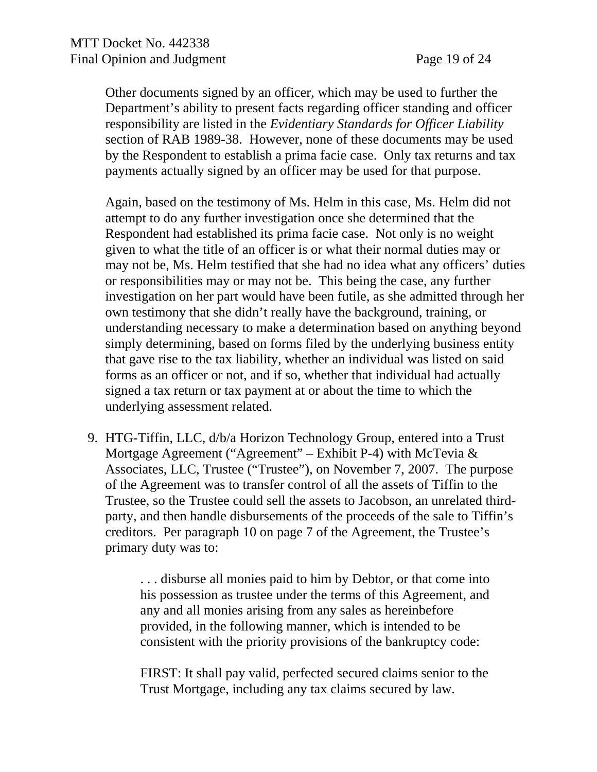Other documents signed by an officer, which may be used to further the Department's ability to present facts regarding officer standing and officer responsibility are listed in the *Evidentiary Standards for Officer Liability* section of RAB 1989-38. However, none of these documents may be used by the Respondent to establish a prima facie case. Only tax returns and tax payments actually signed by an officer may be used for that purpose.

Again, based on the testimony of Ms. Helm in this case, Ms. Helm did not attempt to do any further investigation once she determined that the Respondent had established its prima facie case. Not only is no weight given to what the title of an officer is or what their normal duties may or may not be, Ms. Helm testified that she had no idea what any officers' duties or responsibilities may or may not be. This being the case, any further investigation on her part would have been futile, as she admitted through her own testimony that she didn't really have the background, training, or understanding necessary to make a determination based on anything beyond simply determining, based on forms filed by the underlying business entity that gave rise to the tax liability, whether an individual was listed on said forms as an officer or not, and if so, whether that individual had actually signed a tax return or tax payment at or about the time to which the underlying assessment related.

9. HTG-Tiffin, LLC, d/b/a Horizon Technology Group, entered into a Trust Mortgage Agreement ("Agreement" – Exhibit P-4) with McTevia  $&$ Associates, LLC, Trustee ("Trustee"), on November 7, 2007. The purpose of the Agreement was to transfer control of all the assets of Tiffin to the Trustee, so the Trustee could sell the assets to Jacobson, an unrelated thirdparty, and then handle disbursements of the proceeds of the sale to Tiffin's creditors. Per paragraph 10 on page 7 of the Agreement, the Trustee's primary duty was to:

> . . . disburse all monies paid to him by Debtor, or that come into his possession as trustee under the terms of this Agreement, and any and all monies arising from any sales as hereinbefore provided, in the following manner, which is intended to be consistent with the priority provisions of the bankruptcy code:

> FIRST: It shall pay valid, perfected secured claims senior to the Trust Mortgage, including any tax claims secured by law.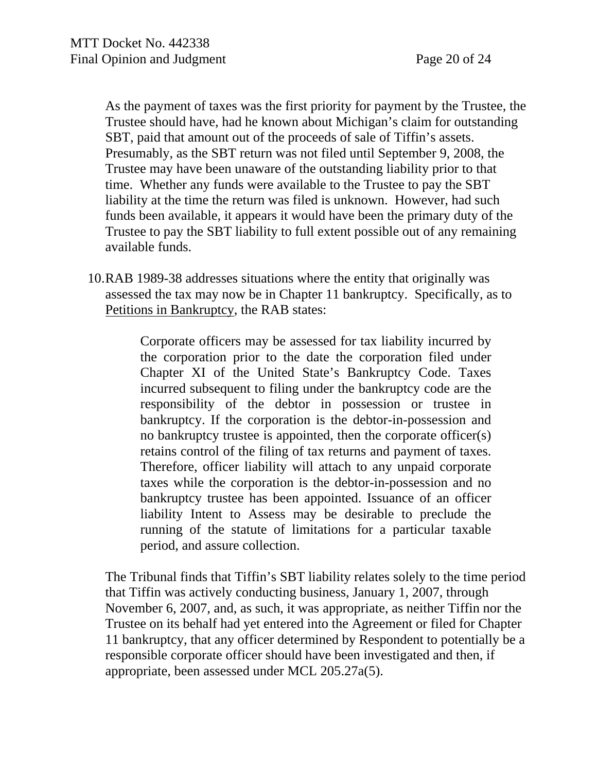As the payment of taxes was the first priority for payment by the Trustee, the Trustee should have, had he known about Michigan's claim for outstanding SBT, paid that amount out of the proceeds of sale of Tiffin's assets. Presumably, as the SBT return was not filed until September 9, 2008, the Trustee may have been unaware of the outstanding liability prior to that time. Whether any funds were available to the Trustee to pay the SBT liability at the time the return was filed is unknown. However, had such funds been available, it appears it would have been the primary duty of the Trustee to pay the SBT liability to full extent possible out of any remaining available funds.

10.RAB 1989-38 addresses situations where the entity that originally was assessed the tax may now be in Chapter 11 bankruptcy. Specifically, as to Petitions in Bankruptcy, the RAB states:

> Corporate officers may be assessed for tax liability incurred by the corporation prior to the date the corporation filed under Chapter XI of the United State's Bankruptcy Code. Taxes incurred subsequent to filing under the bankruptcy code are the responsibility of the debtor in possession or trustee in bankruptcy. If the corporation is the debtor-in-possession and no bankruptcy trustee is appointed, then the corporate officer(s) retains control of the filing of tax returns and payment of taxes. Therefore, officer liability will attach to any unpaid corporate taxes while the corporation is the debtor-in-possession and no bankruptcy trustee has been appointed. Issuance of an officer liability Intent to Assess may be desirable to preclude the running of the statute of limitations for a particular taxable period, and assure collection.

The Tribunal finds that Tiffin's SBT liability relates solely to the time period that Tiffin was actively conducting business, January 1, 2007, through November 6, 2007, and, as such, it was appropriate, as neither Tiffin nor the Trustee on its behalf had yet entered into the Agreement or filed for Chapter 11 bankruptcy, that any officer determined by Respondent to potentially be a responsible corporate officer should have been investigated and then, if appropriate, been assessed under MCL 205.27a(5).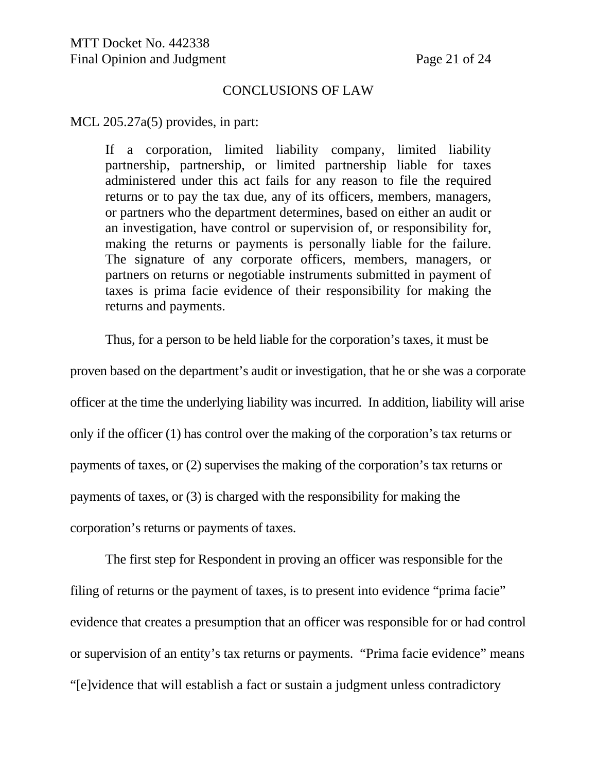### CONCLUSIONS OF LAW

MCL 205.27a(5) provides, in part:

If a corporation, limited liability company, limited liability partnership, partnership, or limited partnership liable for taxes administered under this act fails for any reason to file the required returns or to pay the tax due, any of its officers, members, managers, or partners who the department determines, based on either an audit or an investigation, have control or supervision of, or responsibility for, making the returns or payments is personally liable for the failure. The signature of any corporate officers, members, managers, or partners on returns or negotiable instruments submitted in payment of taxes is prima facie evidence of their responsibility for making the returns and payments.

Thus, for a person to be held liable for the corporation's taxes, it must be

proven based on the department's audit or investigation, that he or she was a corporate officer at the time the underlying liability was incurred. In addition, liability will arise only if the officer (1) has control over the making of the corporation's tax returns or payments of taxes, or (2) supervises the making of the corporation's tax returns or payments of taxes, or (3) is charged with the responsibility for making the corporation's returns or payments of taxes.

The first step for Respondent in proving an officer was responsible for the filing of returns or the payment of taxes, is to present into evidence "prima facie" evidence that creates a presumption that an officer was responsible for or had control or supervision of an entity's tax returns or payments. "Prima facie evidence" means "[e]vidence that will establish a fact or sustain a judgment unless contradictory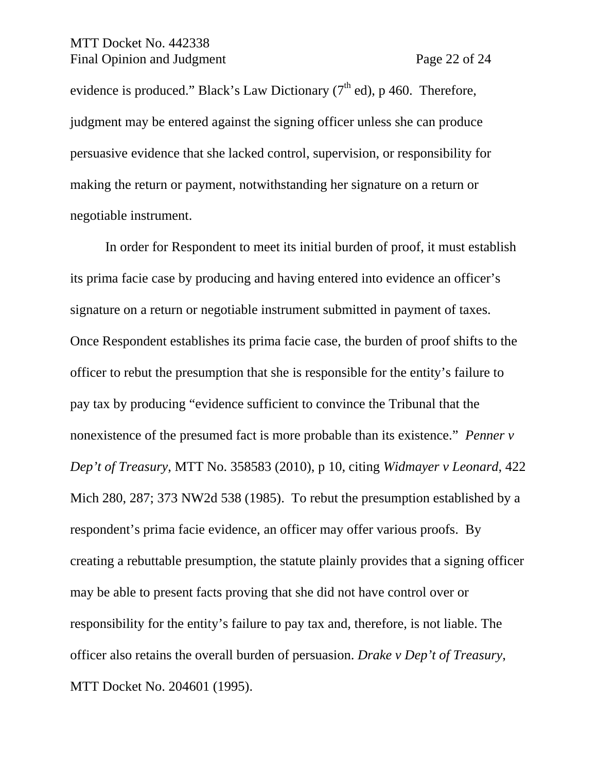## MTT Docket No. 442338 Final Opinion and Judgment Page 22 of 24

evidence is produced." Black's Law Dictionary  $(7<sup>th</sup>$  ed), p 460. Therefore, judgment may be entered against the signing officer unless she can produce persuasive evidence that she lacked control, supervision, or responsibility for making the return or payment, notwithstanding her signature on a return or negotiable instrument.

In order for Respondent to meet its initial burden of proof, it must establish its prima facie case by producing and having entered into evidence an officer's signature on a return or negotiable instrument submitted in payment of taxes. Once Respondent establishes its prima facie case, the burden of proof shifts to the officer to rebut the presumption that she is responsible for the entity's failure to pay tax by producing "evidence sufficient to convince the Tribunal that the nonexistence of the presumed fact is more probable than its existence." *Penner v Dep't of Treasury*, MTT No. 358583 (2010), p 10, citing *Widmayer v Leonard*, 422 Mich 280, 287; 373 NW2d 538 (1985). To rebut the presumption established by a respondent's prima facie evidence, an officer may offer various proofs. By creating a rebuttable presumption, the statute plainly provides that a signing officer may be able to present facts proving that she did not have control over or responsibility for the entity's failure to pay tax and, therefore, is not liable. The officer also retains the overall burden of persuasion. *Drake v Dep't of Treasury*, MTT Docket No. 204601 (1995).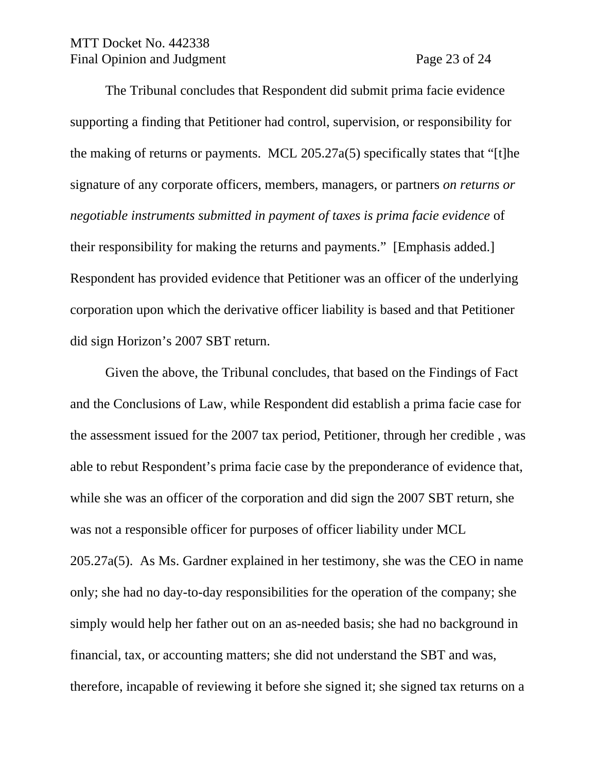## MTT Docket No. 442338 Final Opinion and Judgment Page 23 of 24

The Tribunal concludes that Respondent did submit prima facie evidence supporting a finding that Petitioner had control, supervision, or responsibility for the making of returns or payments. MCL 205.27a(5) specifically states that "[t]he signature of any corporate officers, members, managers, or partners *on returns or negotiable instruments submitted in payment of taxes is prima facie evidence* of their responsibility for making the returns and payments." [Emphasis added.] Respondent has provided evidence that Petitioner was an officer of the underlying corporation upon which the derivative officer liability is based and that Petitioner did sign Horizon's 2007 SBT return.

Given the above, the Tribunal concludes, that based on the Findings of Fact and the Conclusions of Law, while Respondent did establish a prima facie case for the assessment issued for the 2007 tax period, Petitioner, through her credible , was able to rebut Respondent's prima facie case by the preponderance of evidence that, while she was an officer of the corporation and did sign the 2007 SBT return, she was not a responsible officer for purposes of officer liability under MCL 205.27a(5). As Ms. Gardner explained in her testimony, she was the CEO in name only; she had no day-to-day responsibilities for the operation of the company; she simply would help her father out on an as-needed basis; she had no background in financial, tax, or accounting matters; she did not understand the SBT and was, therefore, incapable of reviewing it before she signed it; she signed tax returns on a